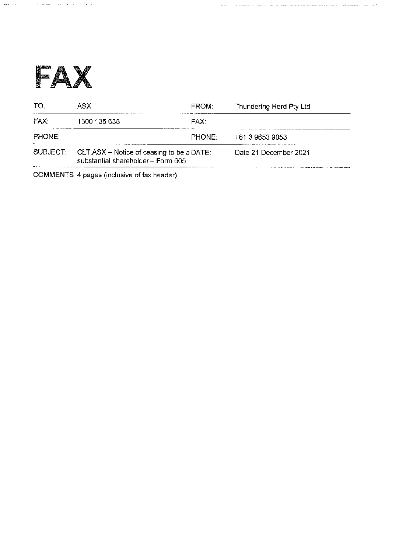

) makes a single set of the constraints of the set of the set of the set of  $\lambda$ 

| TO:                    | ASX.                                                                            | FROM:  | Thundering Herd Pty Ltd |
|------------------------|---------------------------------------------------------------------------------|--------|-------------------------|
| FAX.                   | 1300 135 638                                                                    | FAX:   |                         |
| PHONE:<br>$\mathbf{u}$ |                                                                                 | PHONE: | +61 3 9653 9053         |
| SUBJECT:<br>           | CLT.ASX – Notice of ceasing to be a DATE:<br>substantial shareholder - Form 605 |        | Date 21 December 2021   |

 $\mathcal{L}^{\mathcal{L}}(\mathcal{L}^{\mathcal{L}})$  and  $\mathcal{L}^{\mathcal{L}}(\mathcal{L}^{\mathcal{L}})$  and  $\mathcal{L}^{\mathcal{L}}(\mathcal{L}^{\mathcal{L}})$  and  $\mathcal{L}^{\mathcal{L}}(\mathcal{L}^{\mathcal{L}})$ 

COMMENTS 4 pages (inclusive of fax header)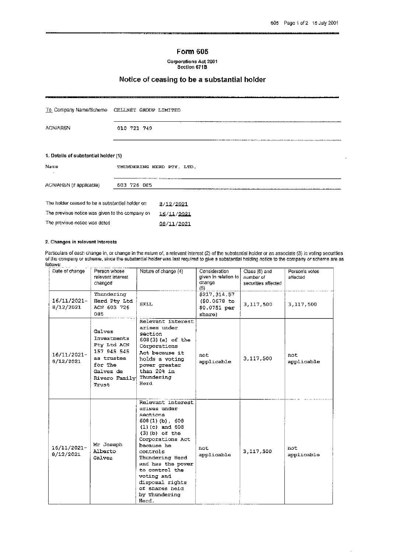## Form 605

Corporations Act 2001<br>Section 671B

# Notice of ceasing to be a substantial holder

| To Company Name/Scheme CELLNET GROUP LIMITED    |             |                                                                                                                    |  |
|-------------------------------------------------|-------------|--------------------------------------------------------------------------------------------------------------------|--|
| <b>ACN/ARSN</b>                                 | 010 721 749 |                                                                                                                    |  |
| 1. Details of substantial holder (1)            |             | mette van Hause vermusieken en enterneem als kan die van die van en van die vermusieke van die kende kan die verme |  |
| Name                                            |             | THUNDERING HERD PTY, LTD.                                                                                          |  |
| ACN/ARSN (if applicable).                       | 603 726 085 |                                                                                                                    |  |
| The holder ceased to be a substantial holder on |             | 8/12/2021                                                                                                          |  |
| The previous notice was given to the company on |             | 16/11/2021                                                                                                         |  |
| The previous notice was dated                   |             | 06/11/2021                                                                                                         |  |

#### 2. Changes in relevant interests

Particulars of each change in, or change in the nature of, a relevant interest (2) of the substantial holder or an associate (3) in voting securities<br>of the company or scheme, since the substantial holder was last required follows:

| Date of change           | Person whose<br>relevant interest<br>changed                                                                                   | Nature of change (4)                                                                                                                                                                                                                                                                              | Consideration<br>given in relation to mumber of<br>change<br>(5) | Class (6) and<br>securities affected | Person's votes<br>affected |
|--------------------------|--------------------------------------------------------------------------------------------------------------------------------|---------------------------------------------------------------------------------------------------------------------------------------------------------------------------------------------------------------------------------------------------------------------------------------------------|------------------------------------------------------------------|--------------------------------------|----------------------------|
| 16/11/2021-<br>8/12/2021 | Thundering<br>Herd Pty Ltd<br>ACN 603 726<br>085                                                                               | <b>SELL</b>                                                                                                                                                                                                                                                                                       | \$217.314.57<br>(S0.0678 to<br>$$0.0751$ per<br>share)           | 3,117,500                            | 3,117,500                  |
| 16/11/2021-<br>8/12/2021 | Galvez<br>Investments<br>Pty Ltd ACN<br>157 945 545<br>as trustee<br>for The<br>Galvez de<br>Rivero Family Thundering<br>Trust | Relevant interest<br>arises under<br>section<br>608(3) (a) of the<br>Corporations<br>Act because it<br>holds a voting<br>power greater<br>than 20% in<br>Herd                                                                                                                                     | not<br>applicable                                                | 3,117,500                            | not<br>applicable          |
| 16/11/2021-<br>8/12/2021 | Mr Joseph<br>Alberto<br>Galvez                                                                                                 | Relevant interest<br>arises under<br>sections<br>$608(1)(b)$ , 608<br>$(1)(c)$ and $608$<br>$(3)$ (b) of the<br>Corporations Act<br>because he<br>controls<br>Thundering Herd<br>and has the power<br>to control the<br>voting and<br>disposal rights<br>of shares held<br>by Thundering<br>Herd. | not<br>applicable                                                | 3,117,500                            | not<br>applicable          |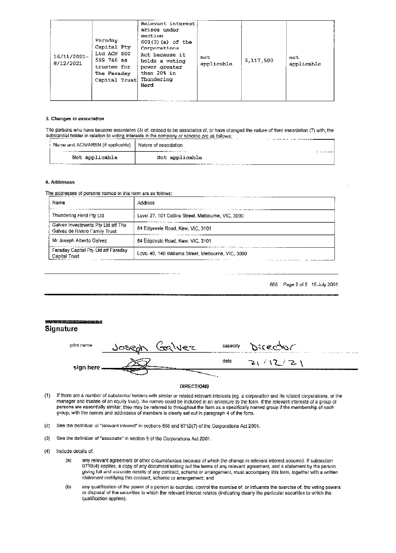| 16/11/2021-<br>8/12/2021 | Faraday<br>Capital Pty<br>Ltd ACN 600<br>599 746 as<br>trustee for<br>The Faraday<br>Capital Trust Thundering | Relevant interest<br>arises under<br>section<br>$608(3)$ (a) of the<br>Corporations<br>Act because it<br>holds a voting<br>power greater<br>than 20% in<br>Herd | not<br>applicable | 3,117,500 | not<br>applicable |
|--------------------------|---------------------------------------------------------------------------------------------------------------|-----------------------------------------------------------------------------------------------------------------------------------------------------------------|-------------------|-----------|-------------------|
|--------------------------|---------------------------------------------------------------------------------------------------------------|-----------------------------------------------------------------------------------------------------------------------------------------------------------------|-------------------|-----------|-------------------|

### 3. Changes in association

The persons who have become associates (3) of, ceased to be associates of, or have changed the nature of their association (7) with, the substantial holder in relation to voting interests in the company or scheme are as follows: 

| Name and ACN/ARSN (if applicable)   Nature of association |                |  |
|-----------------------------------------------------------|----------------|--|
| Not applicable                                            | Not applicable |  |

#### 4. Addresses

The addresses of persons named in this form are as follows;

| Name<br>.                                                           | Address                                             |
|---------------------------------------------------------------------|-----------------------------------------------------|
| Thundering Herd Pty Ltd.                                            | Level 27, 101 Collins Street, Melbourne, VIC, 3000  |
| Galvez Investments Pty Ltd atf The<br>Galvez de Rivero Family Trust | 84 Edgevale Road, Kew, VIC, 3101                    |
| Mr Joseph Alberto Gaivez                                            | 84 Edgevale Road, Kew, VIC, 3101                    |
| Feraday Capital Pty Ltd aff Faraday<br>Capital Trust                | Leve: 40, 140 Williams Street, Melbourne, VIC, 3000 |

605 Page 2 of 2 15 July 2001

| толет не слог на ставительно вежду <b>«свесен (совда)</b><br>Signature |                                                                                                                                                                                                                                      |      |                   |  |
|------------------------------------------------------------------------|--------------------------------------------------------------------------------------------------------------------------------------------------------------------------------------------------------------------------------------|------|-------------------|--|
| print name                                                             | Joseph Galvez                                                                                                                                                                                                                        |      | capacity Director |  |
| sign here $\equiv$                                                     | <u> a shekara ta 1999 a shekara ta 1999 a shekara ta 1999 a shekara ta 1999 a shekara ta 1999 a shekara ta 1999 a shekara ta 1999 a shekara ta 1999 a shekara ta 1999 a shekara ta 1999 a shekara ta 1999 a shekara ta 1999 a sh</u> | date | 21/12/21          |  |
|                                                                        |                                                                                                                                                                                                                                      |      |                   |  |

### **DIRECTIONS**

- $(1)$ If there are a number of substantial holders with similar or related relevant interests (eg. a corporation and its related corporations, or the manager and trustee of an equity trust), the names could be included in an annexure to the form. If the relevant interests of a group of persons are essentially similar, they may be referred to throughout the form as a specifically named group if the membership of each group, with the names and addresses of members is clearly set out in paragraph 4 of the form.
- See the definition of "relevant interest" in sections 608 and 671B(7) of the Corporations Act 2001.  $(2)$
- See the definition of "associate" in section 9 of the Corporations Act 2001.  $(3)$
- Include details of:  $(4)$ 
	- any relevant agreement or other circumstances because of which the change in relevant interest occurred. If subsection  $\left( n\right)$ 671B(4) applies, a copy of any document setting out the terms of any relevant agreement, and a statement by the person giving full and accurate details of any contract, scheme or arrangement, must accompany this form, together with a written statement certifying this contract, schome or arrangement; and
	- $(D)$ any qualification of the power of a person to exercise, control the exercise of, or influence the exercise of, the voting powers or disposal of the securities to which the relevant interest relates (indicating clearly the particular securities to which the qualification applies).